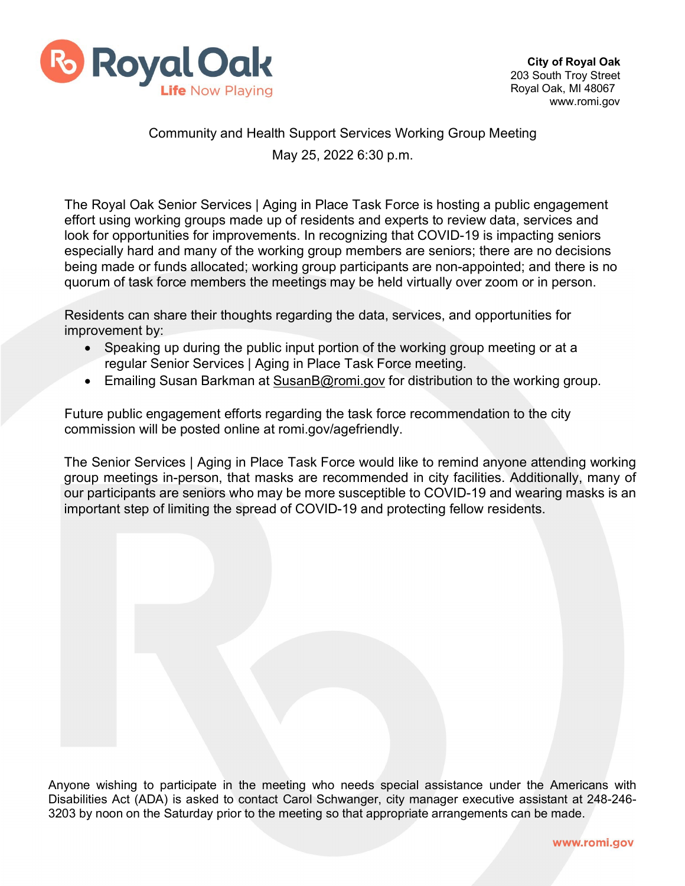

## Community and Health Support Services Working Group Meeting May 25, 2022 6:30 p.m.

The Royal Oak Senior Services | Aging in Place Task Force is hosting a public engagement effort using working groups made up of residents and experts to review data, services and look for opportunities for improvements. In recognizing that COVID-19 is impacting seniors especially hard and many of the working group members are seniors; there are no decisions being made or funds allocated; working group participants are non-appointed; and there is no quorum of task force members the meetings may be held virtually over zoom or in person.

Residents can share their thoughts regarding the data, services, and opportunities for improvement by:

- Speaking up during the public input portion of the working group meeting or at a regular Senior Services | Aging in Place Task Force meeting.
- Emailing Susan Barkman at [SusanB@romi.gov](mailto:SusanB@romi.gov) for distribution to the working group.

Future public engagement efforts regarding the task force recommendation to the city commission will be posted online at romi.gov/agefriendly.

The Senior Services | Aging in Place Task Force would like to remind anyone attending working group meetings in-person, that masks are recommended in city facilities. Additionally, many of our participants are seniors who may be more susceptible to COVID-19 and wearing masks is an important step of limiting the spread of COVID-19 and protecting fellow residents.

Anyone wishing to participate in the meeting who needs special assistance under the Americans with Disabilities Act (ADA) is asked to contact Carol Schwanger, city manager executive assistant at 248-246- 3203 by noon on the Saturday prior to the meeting so that appropriate arrangements can be made.